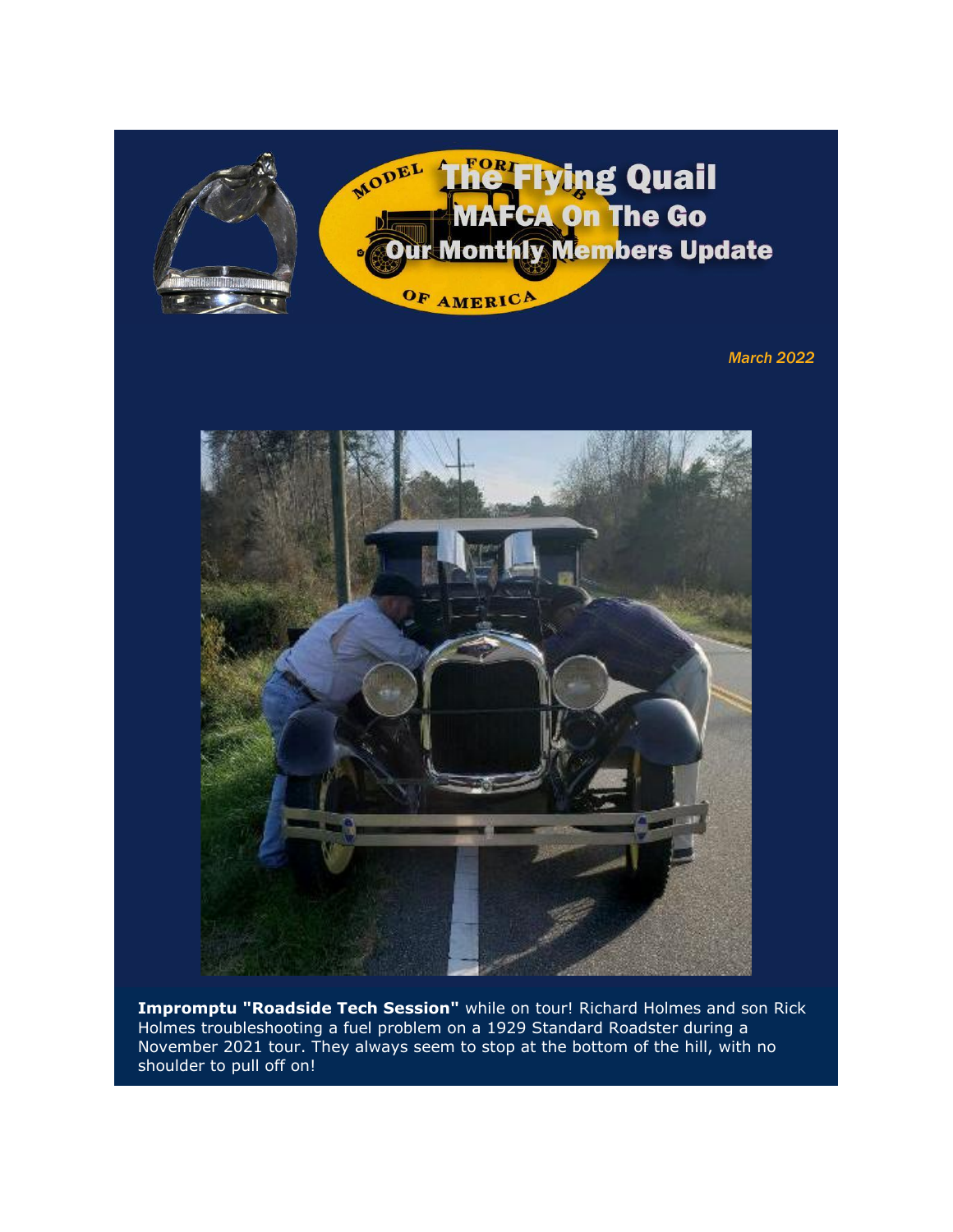

*March 2022*



**Impromptu "Roadside Tech Session"** while on tour! Richard Holmes and son Rick Holmes troubleshooting a fuel problem on a 1929 Standard Roadster during a November 2021 tour. They always seem to stop at the bottom of the hill, with no shoulder to pull off on!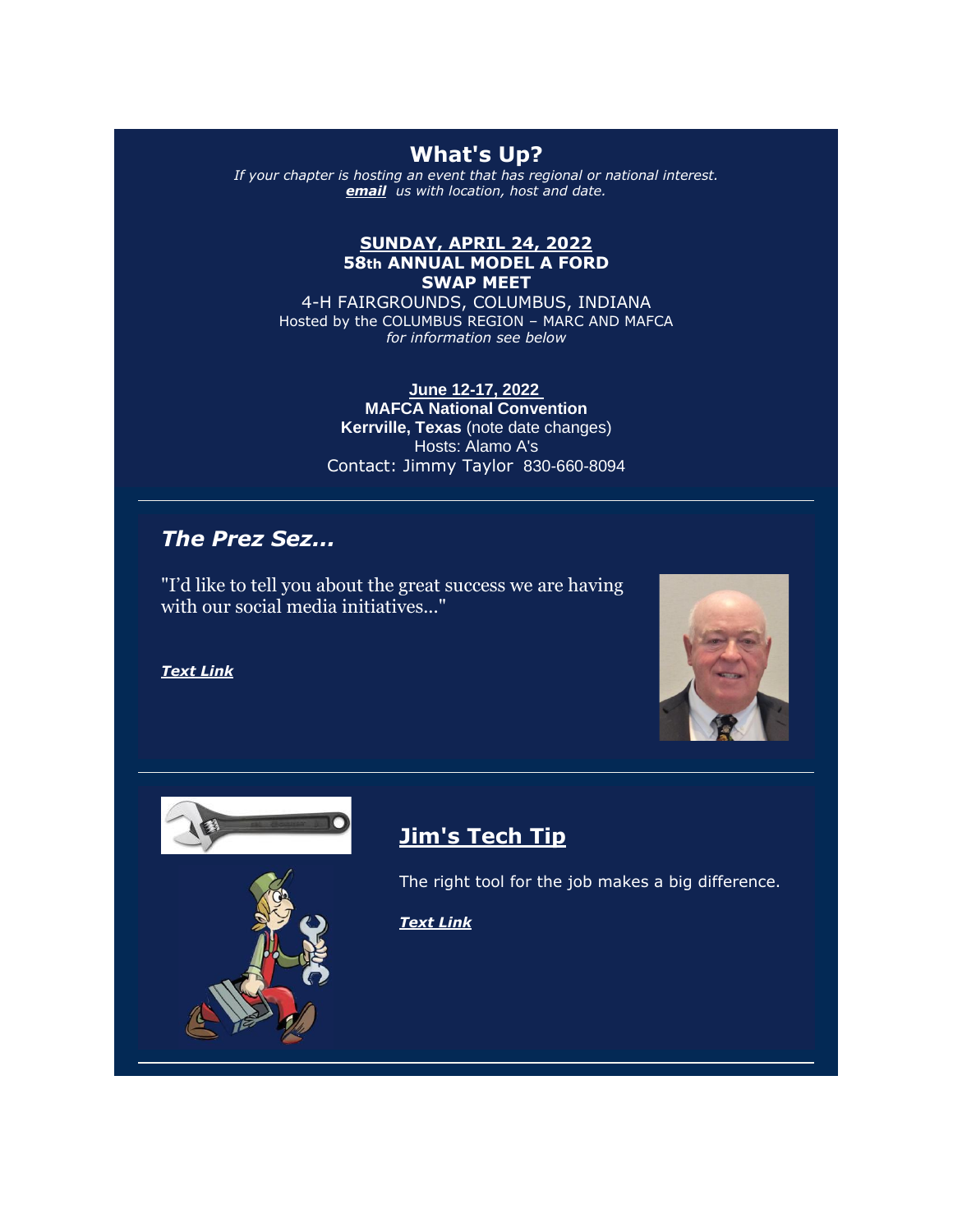## **What's Up?**

*If your chapter is hosting an event that has regional or national interest. [email](mailto:flyingquail@yahoo.com) us with location, host and date.* 

#### **SUNDAY, APRIL 24, 2022 58th ANNUAL MODEL A FORD SWAP MEET**

4-H FAIRGROUNDS, COLUMBUS, INDIANA Hosted by the COLUMBUS REGION – MARC AND MAFCA *for information see below*

> **June 12-17, 2022 MAFCA National Convention Kerrville, Texas** (note date changes) Hosts: Alamo A's Contact: Jimmy Taylor 830-660-8094

### *The Prez Sez...*

"I'd like to tell you about the great success we are having with our social media initiatives..."

*[Text Link](https://urldefense.com/v3/__https:/r20.rs6.net/tn.jsp?f=001PyBPTtWmlB_naepACZU6szJ-LeYwAO6lodW-StZCrsgqPAmhtga9_pWpMWgDMTNn5QIn8KDYvfln46akkV5cqKMpoiB5wTMkLJdFKAKdqPs_RmRYUG_-9Hwb0rYy7q_CyYnnz1cG-WMyAJkASFjpUjung3tRQEMUCgk4XP6wbdvQf-96dCwUFfV5CnMu4knFvtLTSn4D1skkPkVWQoG5--0WwLOPI7aXKaRgvIdXNSimZDUHVvORMw==&c=6l3IXG4iggdRPSeKC7xM9h_VI9PsZn54OsU7qqkbQFJ5pxlbq3Yvmw==&ch=vWy1dJ58NxfWUErx-XEa8ZKlS1DXsfqcHLPpxhlgyFenLaeTGMTROQ==__;!!HSntlCg!Hi1uSQzV964s5vsn2BbFuvSFKl2Qfcdsvg0wwrJIcTQWg1c0Gs-2kiHjHnRoIPMePd8$)*





## **Jim's Tech Tip**

The right tool for the job makes a big difference.

*[Text Link](https://urldefense.com/v3/__https:/r20.rs6.net/tn.jsp?f=001PyBPTtWmlB_naepACZU6szJ-LeYwAO6lodW-StZCrsgqPAmhtga9_pWpMWgDMTNn7mQ1dHeyzXzmJkVDfvxajedGYmXlSgXpgo-O6RyTEUvurVm3ej6Dt8GphSEokbKvAXqN0BHphkDz7NRBGzpUkzoVxFpyY9vwUUWkF5VZd7u3KlLsyHlBB-3bMHl9izLMZcYaC2vuNHglHZR8vwi18tE4-vYSmWWYvw6ifP6hrxTY8S_yoEFqoA==&c=6l3IXG4iggdRPSeKC7xM9h_VI9PsZn54OsU7qqkbQFJ5pxlbq3Yvmw==&ch=vWy1dJ58NxfWUErx-XEa8ZKlS1DXsfqcHLPpxhlgyFenLaeTGMTROQ==__;!!HSntlCg!Hi1uSQzV964s5vsn2BbFuvSFKl2Qfcdsvg0wwrJIcTQWg1c0Gs-2kiHjHnRooxYn3TM$)*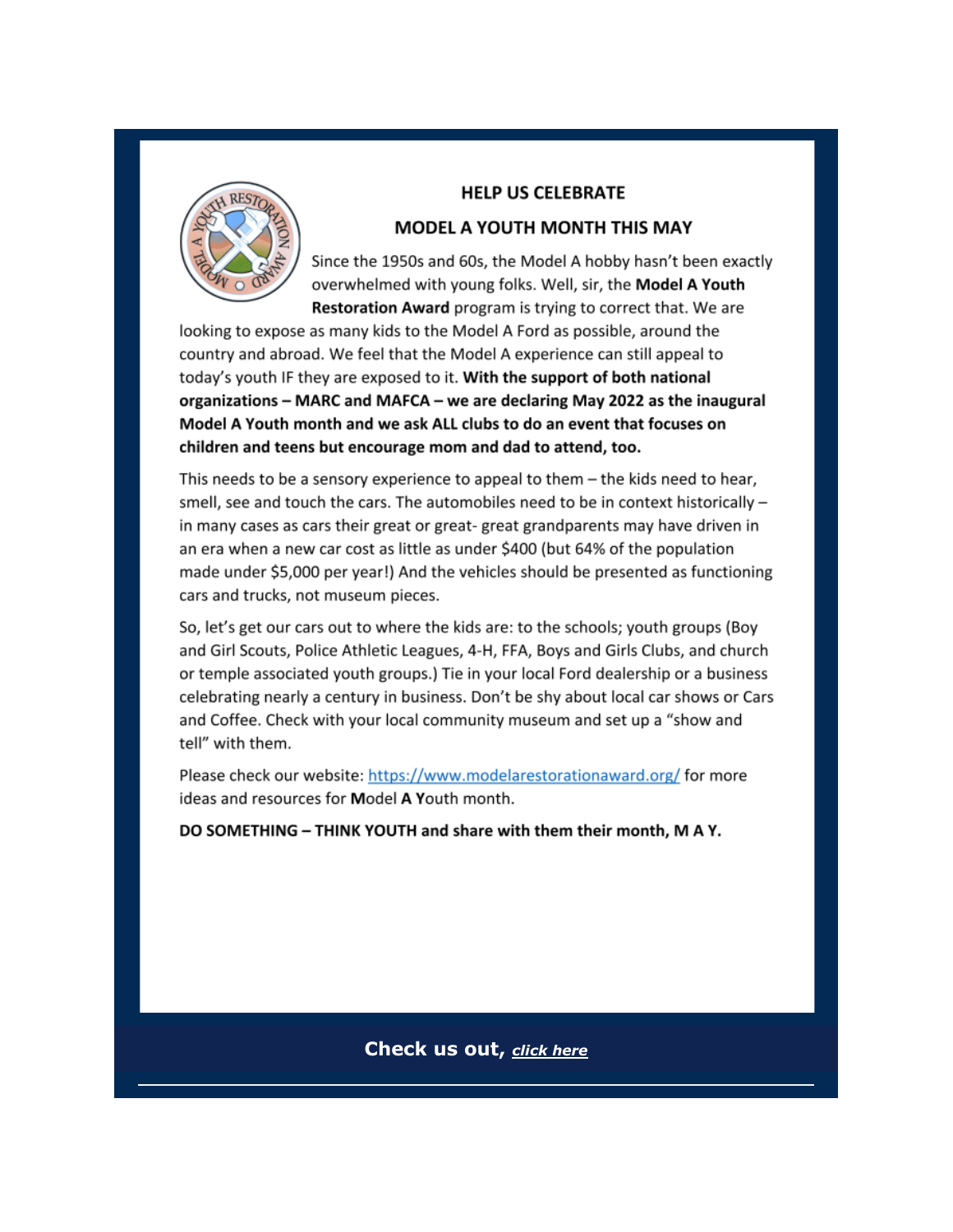

#### **HELP US CELEBRATE**

#### **MODEL A YOUTH MONTH THIS MAY**

Since the 1950s and 60s, the Model A hobby hasn't been exactly overwhelmed with young folks. Well, sir, the Model A Youth Restoration Award program is trying to correct that. We are

looking to expose as many kids to the Model A Ford as possible, around the country and abroad. We feel that the Model A experience can still appeal to today's youth IF they are exposed to it. With the support of both national organizations - MARC and MAFCA - we are declaring May 2022 as the inaugural Model A Youth month and we ask ALL clubs to do an event that focuses on children and teens but encourage mom and dad to attend, too.

This needs to be a sensory experience to appeal to them  $-$  the kids need to hear, smell, see and touch the cars. The automobiles need to be in context historically in many cases as cars their great or great-great grandparents may have driven in an era when a new car cost as little as under \$400 (but 64% of the population made under \$5,000 per year!) And the vehicles should be presented as functioning cars and trucks, not museum pieces.

So, let's get our cars out to where the kids are: to the schools; youth groups (Boy and Girl Scouts, Police Athletic Leagues, 4-H, FFA, Boys and Girls Clubs, and church or temple associated youth groups.) Tie in your local Ford dealership or a business celebrating nearly a century in business. Don't be shy about local car shows or Cars and Coffee. Check with your local community museum and set up a "show and tell" with them.

Please check our website: https://www.modelarestorationaward.org/ for more ideas and resources for Model A Youth month.

DO SOMETHING - THINK YOUTH and share with them their month, M A Y.

Check us out, click here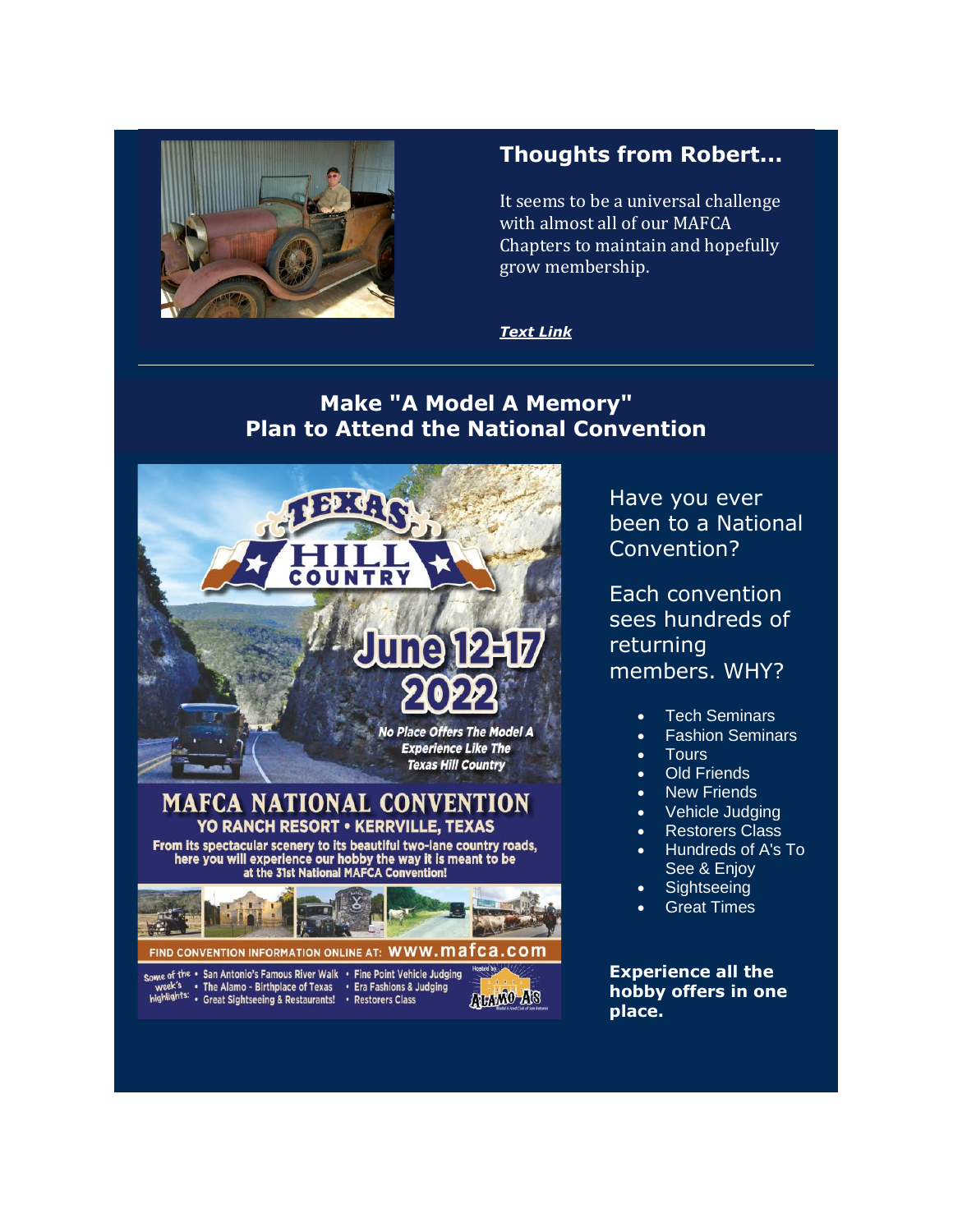

## **Thoughts from Robert...**

It seems to be a universal challenge with almost all of our MAFCA Chapters to maintain and hopefully grow membership.

#### *[Text Link](https://urldefense.com/v3/__https:/r20.rs6.net/tn.jsp?f=001PyBPTtWmlB_naepACZU6szJ-LeYwAO6lodW-StZCrsgqPAmhtga9_pWpMWgDMTNn7-0zMGIO_CLPGoWtdMUISSjP9RHENnWrUAbBaI4PbhdAVwz9y8x1dhIP0veXEH43zNf4ESft7z08-9uxufPRmsXGsYnrzZeavkhXRYGmp5gkkBluPPlMJTdRorFLKSTpcHQOv1UwEoXFUPZLeNMD-uyqSiRvZRMlBNRNojK3dDuasKSTV_1dLA==&c=6l3IXG4iggdRPSeKC7xM9h_VI9PsZn54OsU7qqkbQFJ5pxlbq3Yvmw==&ch=vWy1dJ58NxfWUErx-XEa8ZKlS1DXsfqcHLPpxhlgyFenLaeTGMTROQ==__;!!HSntlCg!Hi1uSQzV964s5vsn2BbFuvSFKl2Qfcdsvg0wwrJIcTQWg1c0Gs-2kiHjHnRovaC4m5k$)*

## **Make "A Model A Memory" Plan to Attend the National Convention**



Have you ever been to a National Convention?

Each convention sees hundreds of returning members. WHY?

- **Tech Seminars**
- Fashion Seminars
- Tours
- **Old Friends**
- **New Friends**
- Vehicle Judging
- **Restorers Class**
- Hundreds of A's To See & Enjoy
- **Sightseeing**
- **Great Times**

**Experience all the hobby offers in one place.**

week's • The Alamo - Birthplace of Texas • Era Fashions & Judging<br>highlights: • Che Alamo - Birthplace of Texas • Era Fashions & Judging<br>highlights: • Great Sightseeing & Restaurants! • Restorers Class

**ALAND AS**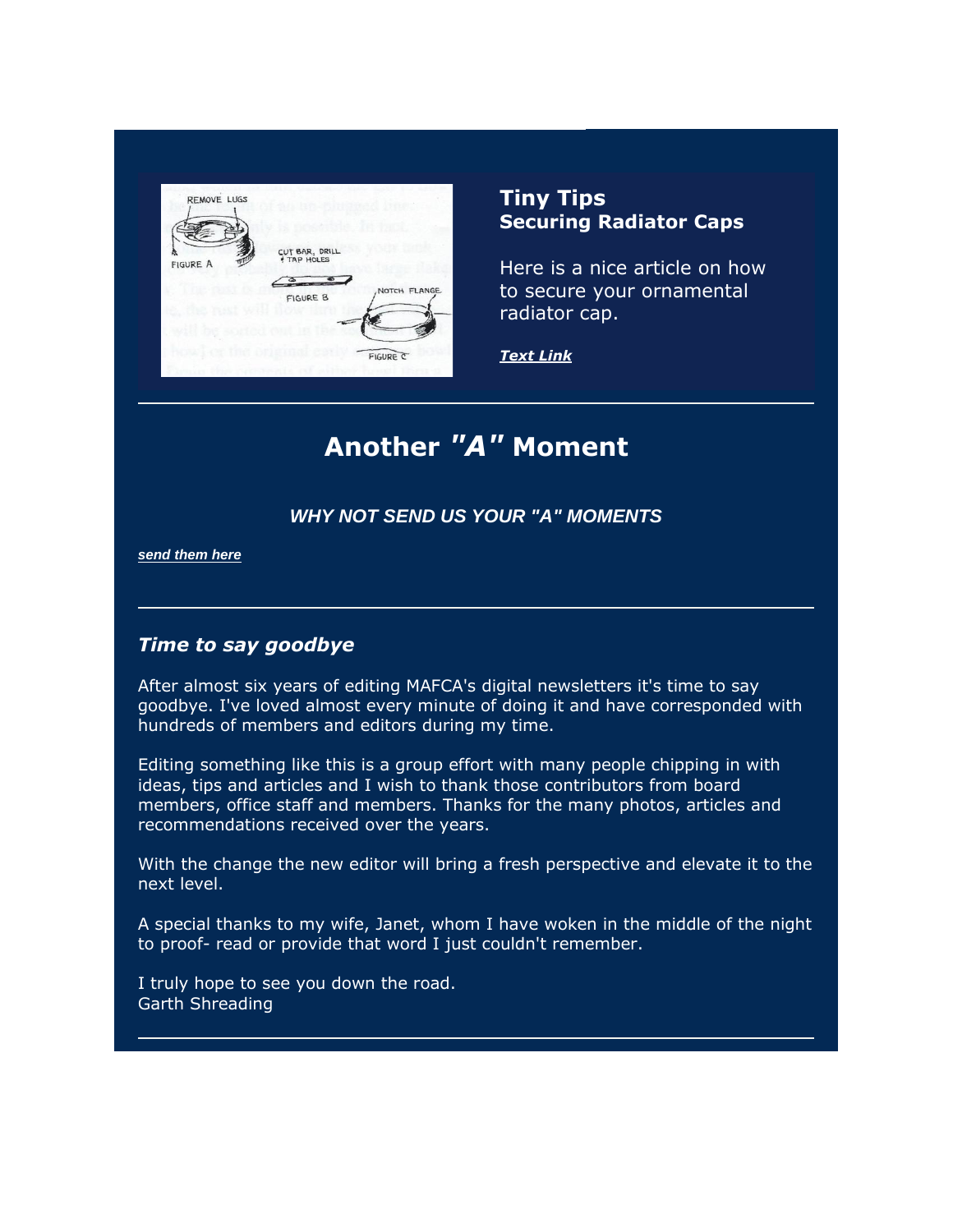| <b>REMOVE LUGS</b> |                 |              |  |
|--------------------|-----------------|--------------|--|
| <b>FIGURE A</b>    | CUT BAR, DRILL  |              |  |
|                    | <b>FIGURE B</b> | NOTCH FLANGE |  |
|                    |                 |              |  |
|                    |                 | FIGURE C     |  |

## **Tiny Tips Securing Radiator Caps**

Here is a nice article on how to secure your ornamental radiator cap.

*[Text Link](https://urldefense.com/v3/__https:/r20.rs6.net/tn.jsp?f=001PyBPTtWmlB_naepACZU6szJ-LeYwAO6lodW-StZCrsgqPAmhtga9_pWpMWgDMTNn_wnz9lxzNpsfCtW-0t2MQjXMYzpTWCCqRImgDYIYx8-RS6Rg40edZ6AgshLk4npoAbA76LNmFsDcXaCYWewTLU23rvLxBLT9Y8fADnXRqtYiD27DMOujXgrJR6gsh6xs3-x4XoUBmWaNqS-fW_3QC-3qesCBP2NSG7JBubzqD85HGLKDbah0Gw==&c=6l3IXG4iggdRPSeKC7xM9h_VI9PsZn54OsU7qqkbQFJ5pxlbq3Yvmw==&ch=vWy1dJ58NxfWUErx-XEa8ZKlS1DXsfqcHLPpxhlgyFenLaeTGMTROQ==__;!!HSntlCg!Hi1uSQzV964s5vsn2BbFuvSFKl2Qfcdsvg0wwrJIcTQWg1c0Gs-2kiHjHnRoX8zT5pI$)*

## **Another** *"A"* **Moment**

### *WHY NOT [SEND US YOUR "A" MOMENTS](mailto:flyingquail@yahoo.com)*

*[send them here](mailto:flyingquail@yahoo.com)*

#### *Time to say goodbye*

After almost six years of editing MAFCA's digital newsletters it's time to say goodbye. I've loved almost every minute of doing it and have corresponded with hundreds of members and editors during my time.

Editing something like this is a group effort with many people chipping in with ideas, tips and articles and  $I$  wish to thank those contributors from board members, office staff and members. Thanks for the many photos, articles and recommendations received over the years.

With the change the new editor will bring a fresh perspective and elevate it to the next level.

A special thanks to my wife, Janet, whom I have woken in the middle of the night to proof- read or provide that word I just couldn't remember.

I truly hope to see you down the road. Garth Shreading